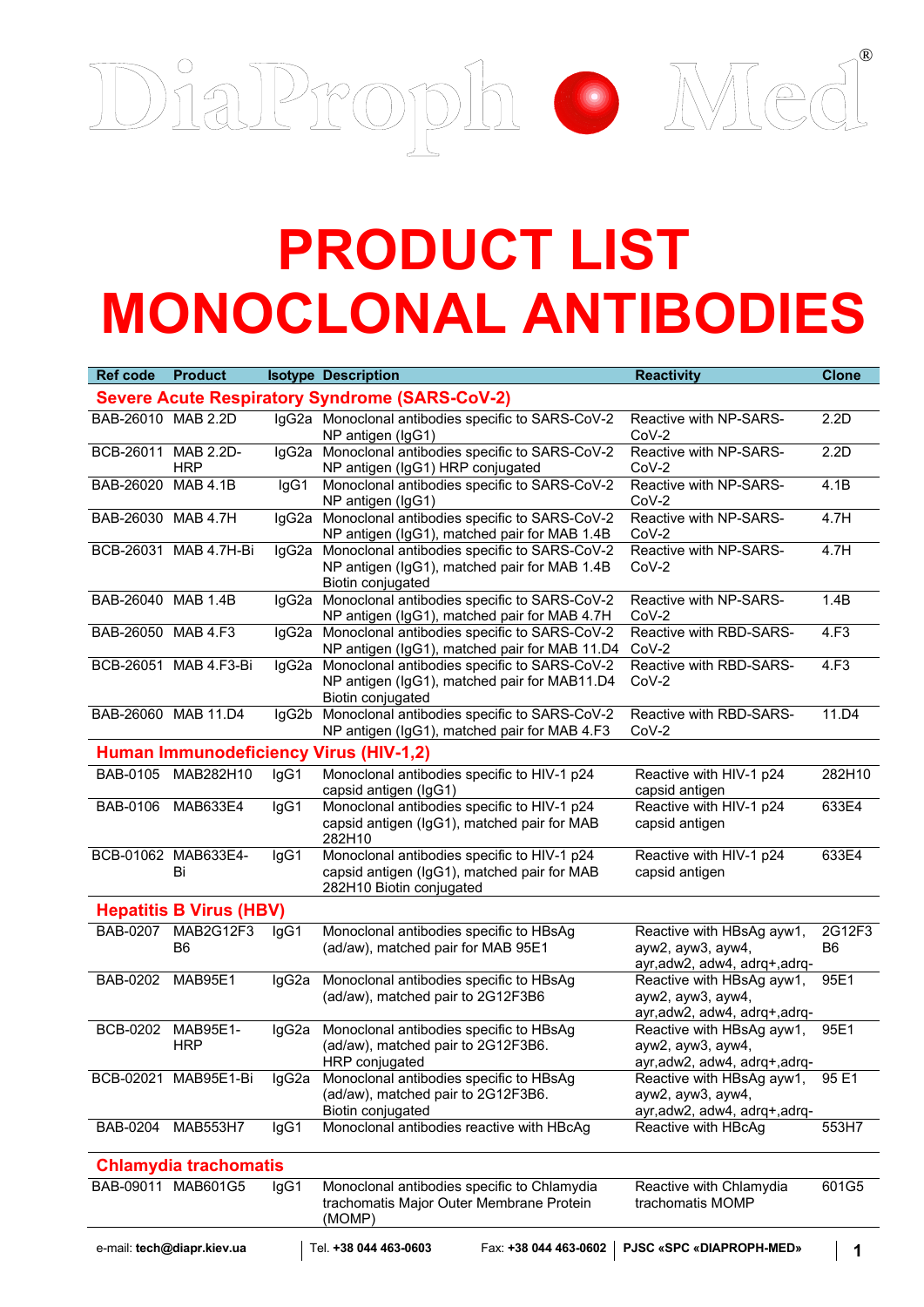

## **PRODUCT LIST MONOCLONAL ANTIBODIES**

| <b>Ref code</b>                                       | <b>Product</b>                 |       | <b>Isotype Description</b>                                                                                              | <b>Reactivity</b>                                                               | <b>Clone</b>             |  |  |  |  |
|-------------------------------------------------------|--------------------------------|-------|-------------------------------------------------------------------------------------------------------------------------|---------------------------------------------------------------------------------|--------------------------|--|--|--|--|
| <b>Severe Acute Respiratory Syndrome (SARS-CoV-2)</b> |                                |       |                                                                                                                         |                                                                                 |                          |  |  |  |  |
| BAB-26010 MAB 2.2D                                    |                                |       | IgG2a Monoclonal antibodies specific to SARS-CoV-2<br>NP antigen (IgG1)                                                 | Reactive with NP-SARS-<br>$CoV-2$                                               | 2.2D                     |  |  |  |  |
| BCB-26011 MAB 2.2D-                                   | <b>HRP</b>                     |       | IgG2a Monoclonal antibodies specific to SARS-CoV-2<br>NP antigen (IgG1) HRP conjugated                                  | Reactive with NP-SARS-<br>$CoV-2$                                               | 2.2D                     |  |  |  |  |
| BAB-26020 MAB 4.1B                                    |                                | lgG1  | Monoclonal antibodies specific to SARS-CoV-2<br>NP antigen (IgG1)                                                       | Reactive with NP-SARS-<br>$CoV-2$                                               | 4.1B                     |  |  |  |  |
| BAB-26030 MAB 4.7H                                    |                                |       | IgG2a Monoclonal antibodies specific to SARS-CoV-2<br>NP antigen (IgG1), matched pair for MAB 1.4B                      | Reactive with NP-SARS-<br>$CoV-2$                                               | 4.7H                     |  |  |  |  |
|                                                       | BCB-26031 MAB 4.7H-Bi          |       | IgG2a Monoclonal antibodies specific to SARS-CoV-2<br>NP antigen (IgG1), matched pair for MAB 1.4B<br>Biotin conjugated | Reactive with NP-SARS-<br>$CoV-2$                                               | 4.7H                     |  |  |  |  |
| BAB-26040 MAB 1.4B                                    |                                |       | IgG2a Monoclonal antibodies specific to SARS-CoV-2<br>NP antigen (IgG1), matched pair for MAB 4.7H                      | Reactive with NP-SARS-<br>$CoV-2$                                               | 1.4B                     |  |  |  |  |
| BAB-26050 MAB 4.F3                                    |                                |       | IgG2a Monoclonal antibodies specific to SARS-CoV-2<br>NP antigen (IgG1), matched pair for MAB 11.D4                     | Reactive with RBD-SARS-<br>$CoV-2$                                              | 4.F3                     |  |  |  |  |
|                                                       | BCB-26051 MAB 4.F3-Bi          |       | IgG2a Monoclonal antibodies specific to SARS-CoV-2<br>NP antigen (IgG1), matched pair for MAB11.D4<br>Biotin conjugated | Reactive with RBD-SARS-<br>$CoV-2$                                              | 4.F3                     |  |  |  |  |
|                                                       | BAB-26060 MAB 11.D4            |       | IgG2b Monoclonal antibodies specific to SARS-CoV-2<br>NP antigen (IgG1), matched pair for MAB 4.F3                      | Reactive with RBD-SARS-<br>$CoV-2$                                              | 11.D4                    |  |  |  |  |
|                                                       |                                |       | Human Immunodeficiency Virus (HIV-1,2)                                                                                  |                                                                                 |                          |  |  |  |  |
|                                                       | BAB-0105 MAB282H10             | IgG1  | Monoclonal antibodies specific to HIV-1 p24<br>capsid antigen (IgG1)                                                    | Reactive with HIV-1 p24<br>capsid antigen                                       | 282H10                   |  |  |  |  |
|                                                       | BAB-0106 MAB633E4              | IgG1  | Monoclonal antibodies specific to HIV-1 p24<br>capsid antigen (IgG1), matched pair for MAB<br>282H10                    | Reactive with HIV-1 p24<br>capsid antigen                                       | 633E4                    |  |  |  |  |
|                                                       | BCB-01062 MAB633E4-<br>Bi      | lgG1  | Monoclonal antibodies specific to HIV-1 p24<br>capsid antigen (IgG1), matched pair for MAB<br>282H10 Biotin conjugated  | Reactive with HIV-1 p24<br>capsid antigen                                       | 633E4                    |  |  |  |  |
|                                                       | <b>Hepatitis B Virus (HBV)</b> |       |                                                                                                                         |                                                                                 |                          |  |  |  |  |
|                                                       | BAB-0207 MAB2G12F3<br>B6       | IgG1  | Monoclonal antibodies specific to HBsAg<br>(ad/aw), matched pair for MAB 95E1                                           | Reactive with HBsAg ayw1,<br>ayw2, ayw3, ayw4,<br>ayr, adw2, adw4, adrq+, adrq- | 2G12F3<br>B <sub>6</sub> |  |  |  |  |
| BAB-0202                                              | MAB95E1                        | lgG2a | Monoclonal antibodies specific to HBsAg<br>(ad/aw), matched pair to 2G12F3B6                                            | Reactive with HBsAg ayw1,<br>ayw2, ayw3, ayw4,<br>ayr, adw2, adw4, adrq+, adrq- | 95E1                     |  |  |  |  |
| BCB-0202                                              | MAB95E1-<br><b>HRP</b>         | lgG2a | Monoclonal antibodies specific to HBsAg<br>(ad/aw), matched pair to 2G12F3B6.<br>HRP conjugated                         | Reactive with HBsAg ayw1,<br>ayw2, ayw3, ayw4,<br>ayr, adw2, adw4, adrq+, adrq- | 95E1                     |  |  |  |  |
|                                                       | BCB-02021 MAB95E1-Bi           | lgG2a | Monoclonal antibodies specific to HBsAg<br>(ad/aw), matched pair to 2G12F3B6.<br>Biotin conjugated                      | Reactive with HBsAg ayw1,<br>ayw2, ayw3, ayw4,<br>ayr, adw2, adw4, adrq+, adrq- | 95 E1                    |  |  |  |  |
| <b>BAB-0204</b>                                       | <b>MAB553H7</b>                | IgG1  | Monoclonal antibodies reactive with HBcAg                                                                               | Reactive with HBcAg                                                             | 553H7                    |  |  |  |  |
| <b>Chlamydia trachomatis</b>                          |                                |       |                                                                                                                         |                                                                                 |                          |  |  |  |  |
|                                                       | BAB-09011 MAB601G5             | IgG1  | Monoclonal antibodies specific to Chlamydia<br>trachomatis Major Outer Membrane Protein<br>(MOMP)                       | Reactive with Chlamydia<br>trachomatis MOMP                                     | 601G5                    |  |  |  |  |
|                                                       | e-mail: tech@diapr.kiev.ua     |       | Tel. +38 044 463-0603<br>Fax: +38 044 463-0602                                                                          | <b>PJSC «SPC «DIAPROPH-MED»</b>                                                 | 1                        |  |  |  |  |